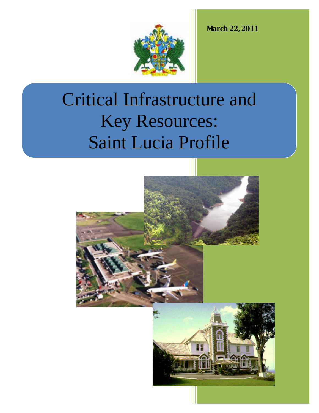**March 22, 2011**



# Critical Infrastructure and Key Resources: Saint Lucia Profile

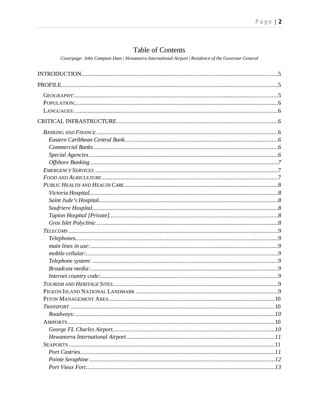## Table of Contents

Coverpage: John Compton Dam | Hewanorra International Airport | Residence of the Governor General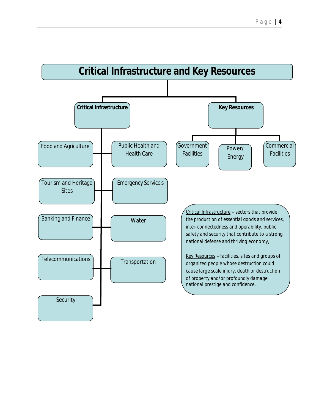

**Transportation** 

**Telecommunications** 

**Security** 

*the production of essential goods and services, inter-connectedness and operability, public safety and security that contribute to a strong national defense and thriving economy,*

*Key Resources – facilities, sites and groups of organized people whose destruction could cause large scale injury, death or destruction of property and/or profoundly damage national prestige and confidence.*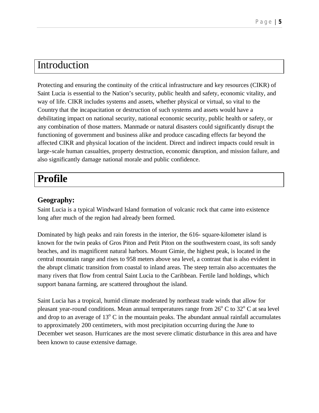## Introduction

Protecting and ensuring the continuity of the critical infrastructure and key resources (CIKR) of Saint Lucia is essential to the Nation's security, public health and safety, economic vitality, and way of life. CIKR includes systems and assets, whether physical or virtual, so vital to the Country that the incapacitation or destruction of such systems and assets would have a debilitating impact on national security, national economic security, public health or safety, or any combination of those matters. Manmade or natural disasters could significantly disrupt the functioning of government and business alike and produce cascading effects far beyond the affected CIKR and physical location of the incident. Direct and indirect impacts could result in large-scale human casualties, property destruction, economic disruption, and mission failure, and also significantly damage national morale and public confidence.

## **Profile**

## **Geography:**

Saint Lucia is a typical Windward Island formation of volcanic rock that came into existence long after much of the region had already been formed.

Dominated by high peaks and rain forests in the interior, the 616- square-kilometer island is known for the twin peaks of Gros Piton and Petit Piton on the southwestern coast, its soft sandy beaches, and its magnificent natural harbors. Mount Gimie, the highest peak, is located in the central mountain range and rises to 958 meters above sea level, a contrast that is also evident in the abrupt climatic transition from coastal to inland areas. The steep terrain also accentuates the many rivers that flow from central Saint Lucia to the Caribbean. Fertile land holdings, which support banana farming, are scattered throughout the island.

Saint Lucia has a tropical, humid climate moderated by northeast trade winds that allow for pleasant year-round conditions. Mean annual temperatures range from  $26^{\circ}$  C to  $32^{\circ}$  C at sea level and drop to an average of  $13^{\circ}$  C in the mountain peaks. The abundant annual rainfall accumulates to approximately 200 centimeters, with most precipitation occurring during the June to December wet season. Hurricanes are the most severe climatic disturbance in this area and have been known to cause extensive damage.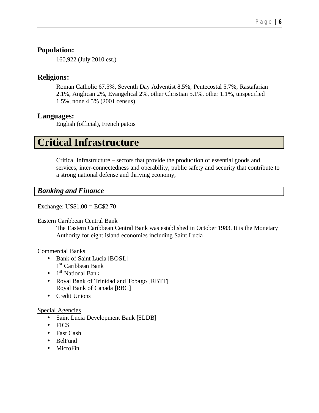## **Population:**

160,922 (July 2010 est.)

## **Religions:**

Roman Catholic 67.5%, Seventh Day Adventist 8.5%, Pentecostal 5.7%, Rastafarian 2.1%, Anglican 2%, Evangelical 2%, other Christian 5.1%, other 1.1%, unspecified 1.5%, none 4.5% (2001 census)

## **Languages:**

English (official), French patois

## **Critical Infrastructure**

Critical Infrastructure – sectors that provide the produc tion of essential goods and services, inter-connectedness and operability, public safety and security that contribute to a strong national defense and thriving economy,

## *Banking and Finance*

Exchange: US\$1.00 = EC\$2.70

#### Eastern Caribbean Central Bank

The Eastern Caribbean Central Bank was established in October 1983. It is the Monetary Authority for eight island economies including Saint Lucia

## Commercial Banks

- Bank of Saint Lucia [BOSL] 1<sup>st</sup> Caribbean Bank
- $\bullet$  1<sup>st</sup> National Bank
- Royal Bank of Trinidad and Tobago [RBTT] Royal Bank of Canada [RBC]
- Credit Unions

## Special Agencies

- Saint Lucia Development Bank [SLDB]
- FICS
- Fast Cash
- BelFund
- MicroFin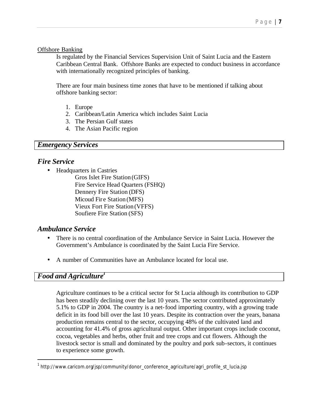#### Offshore Banking

Is regulated by the Financial Services Supervision Unit of Saint Lucia and the Eastern Caribbean Central Bank. Offshore Banks are expected to conduct business in accordance with internationally recognized principles of banking.

There are four main business time zones that have to be mentioned if talking about offshore banking sector:

- 1. Europe
- 2. Caribbean/Latin America which includes Saint Lucia
- 3. The Persian Gulf states
- 4. The Asian Pacific region

## *Emergency Services*

## *Fire Service*

• Headquarters in Castries

Gros Islet Fire Station (GIFS) Fire Service Head Quarters (FSHQ) Dennery Fire Station (DFS) Micoud Fire Station (MFS) Vieux Fort Fire Station (VFFS) Soufiere Fire Station (SFS)

## *Ambulance Service*

- There is no central coordination of the Ambulance Service in Saint Lucia. However the Government's Ambulance is coordinated by the Saint Lucia Fire Service.
- A number of Communities have an Ambulance located for local use.

## *Food and Agriculture<sup>1</sup>*

l

Agriculture continues to be a critical sector for St Lucia although its contribution to GDP has been steadily declining over the last 10 years. The sector contributed approximately 5.1% to GDP in 2004. The country is a net-food importing country, with a growing trade deficit in its food bill over the last 10 years. Despite its contraction over the years, banana production remains central to the sector, occupying 48% of the cultivated land and accounting for 41.4% of gross agricultural output. Other important crops include coconut, cocoa, vegetables and herbs, other fruit and tree crops and cut flowers. Although the livestock sector is small and dominated by the poultry and pork sub-sectors, it continues to experience some growth.

<sup>&</sup>lt;sup>1</sup>http://www.caricom.org/jsp/community/donor\_conference\_agriculture/agri\_profile\_st\_lucia.jsp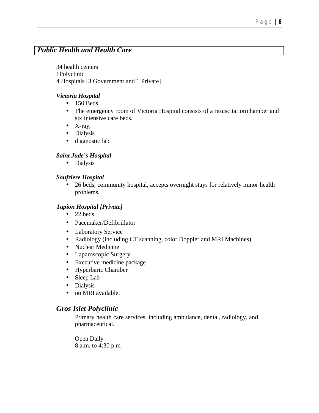## *Public Health and Health Care*

34 health centers 1Polyclinic 4 Hospitals [3 Government and 1 Private]

#### *Victoria Hospital*

- $\bullet$  150 Beds
- The emergency room of Victoria Hospital consists of a resuscitation chamber and six intensive care beds.
- $\bullet$  X-ray,
- Dialysis
- diagnostic lab

### *Saint Jude's Hospital*

• Dialysis

### *Soufriere Hospital*

• 26 beds, community hospital, accepts overnight stays for relatively minor health problems.

### *Tapion Hospital [Private]*

- 22 beds
- Pacemaker/Defibrillator
- Laboratory Service
- Radiology (including CT scanning, color Doppler and MRI Machines)
- Nuclear Medicine
- Laparoscopic Surgery
- Executive medicine package
- Hyperbaric Chamber
- Sleep Lab
- Dialysis
- no MRI available.

## *Gros Islet Polyclinic*

Primary health care services, including ambulance, dental, radiology, and pharmaceutical.

Open Daily 8 a.m. to 4:30 p.m.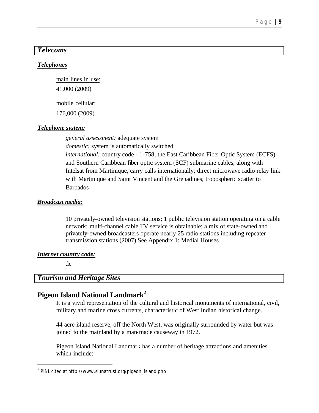## *Telecoms*

#### *Telephones*

main lines in use:

41,000 (2009)

mobile cellular:

176,000 (2009)

#### *Telephone system:*

*general assessment:* adequate system *domestic:* system is automatically switched

*international:* country code - 1-758; the East Caribbean Fiber Optic System (ECFS) and Southern Caribbean fiber optic system (SCF) submarine cables, along with Intelsat from Martinique, carry calls internationally; direct microwave radio relay link with Martinique and Saint Vincent and the Grenadines; tropospheric scatter to Barbados

#### *Broadcast media:*

10 privately-owned television stations; 1 public television station operating on a cable network; multi-channel cable TV service is obtainable; a mix of state-owned and privately-owned broadcasters operate nearly 25 radio stations including repeater transmission stations (2007) See Appendix 1: Medial Houses.

#### *Internet country code:*

.lc

l

## *Tourism and Heritage Sites*

## **Pigeon Island National Landmark<sup>2</sup>**

It is a vivid representation of the cultural and historical monuments of international, civil, military and marine cross currents, characteristic of West Indian historical change.

44 acre island reserve, off the North West, was originally surrounded by water but was joined to the mainland by a man-made causeway in 1972.

Pigeon Island National Landmark has a number of heritage attractions and amenities which include:

 $^{\rm 2}$  PINL cited at http://www.slunatrust.org/pigeon\_island.php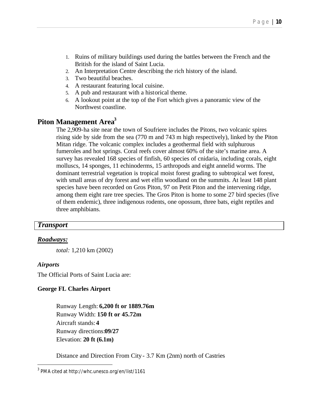- 1. Ruins of military buildings used during the battles between the French and the British for the island of Saint Lucia.
- 2. An Interpretation Centre describing the rich history of the island.
- 3. Two beautiful beaches.
- 4. A restaurant featuring local cuisine.
- 5. A pub and restaurant with a historical theme.
- 6. A lookout point at the top of the Fort which gives a panoramic view of the Northwest coastline.

## **Piton Management Area<sup>3</sup>**

The 2,909-ha site near the town of Soufriere includes the Pitons, two volcanic spires rising side by side from the sea (770 m and 743 m high respectively), linked by the Piton Mitan ridge. The volcanic complex includes a geothermal field with sulphurous fumeroles and hot springs. Coral reefs cover almost 60% of the site's marine area. A survey has revealed 168 species of finfish, 60 species of cnidaria, including corals, eight molluscs, 14 sponges, 11 echinoderms, 15 arthropods and eight annelid worms. The dominant terrestrial vegetation is tropical moist forest grading to subtropical wet forest, with small areas of dry forest and wet elfin woodland on the summits. At least 148 plant species have been recorded on Gros Piton, 97 on Petit Piton and the intervening ridge, among them eight rare tree species. The Gros Piton is home to some 27 bird species (five of them endemic), three indigenous rodents, one opossum, three bats, eight reptiles and three amphibians.

#### *Transport*

#### *Roadways:*

*total:* 1,210 km (2002)

#### *Airports*

l

The Official Ports of Saint Lucia are:

#### **George FL Charles Airport**

Runway Length: **6,200 ft or 1889.76m** Runway Width: **150 ft or 45.72m** Aircraft stands: **4**  Runway directions:**09/27**  Elevation: **20 ft (6.1m)** 

Distance and Direction From City - 3.7 Km (2nm) north of Castries

 $^3$  PMA cited at http://whc.unesco.org/en/list/1161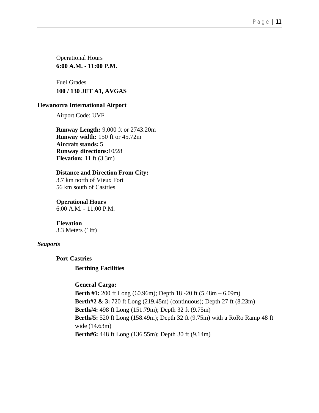Operational Hours **6:00 A.M. - 11:00 P.M.**

Fuel Grades **100 / 130 JET A1, AVGAS**

#### **Hewanorra International Airport**

Airport Code: UVF

**Runway Length:** 9,000 ft or 2743.20m **Runway width:** 150 ft or 45.72m **Aircraft stands:** 5 **Runway directions:**10/28 **Elevation:** 11 ft (3.3m)

#### **Distance and Direction From City:**

3.7 km north of Vieux Fort 56 km south of Castries

**Operational Hours**

6:00 A.M. - 11:00 P.M.

**Elevation** 3.3 Meters (1lft)

#### *Seaports*

**Port Castries**

#### **Berthing Facilities**

#### **General Cargo:**

**Berth #1:** 200 ft Long (60.96m); Depth 18 -20 ft (5.48m – 6.09m) **Berth#2 & 3:** 720 ft Long (219.45m) (continuous); Depth 27 ft (8.23m) **Berth#4:** 498 ft Long (151.79m); Depth 32 ft (9.75m) **Berth#5:** 520 ft Long (158.49m); Depth 32 ft (9.75m) with a RoRo Ramp 48 ft wide (14.63m) **Berth#6:** 448 ft Long (136.55m); Depth 30 ft (9.14m)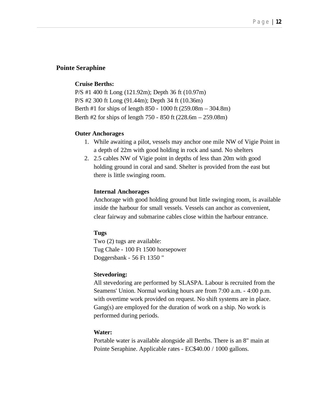#### **Pointe Seraphine**

#### **Cruise Berths:**

P/S #1 400 ft Long (121.92m); Depth 36 ft (10.97m) P/S #2 300 ft Long (91.44m); Depth 34 ft (10.36m) Berth #1 for ships of length 850 - 1000 ft (259.08m – 304.8m) Berth #2 for ships of length 750 - 850 ft (228.6m – 259.08m)

#### **Outer Anchorages**

- 1. While awaiting a pilot, vessels may anchor one mile NW of Vigie Point in a depth of 22m with good holding in rock and sand. No shelters
- 2. 2.5 cables NW of Vigie point in depths of less than 20m with good holding ground in coral and sand. Shelter is provided from the east but there is little swinging room.

#### **Internal Anchorages**

Anchorage with good holding ground but little swinging room, is available inside the harbour for small vessels. Vessels can anchor as convenient, clear fairway and submarine cables close within the harbour entrance.

#### **Tugs**

Two (2) tugs are available: Tug Chale - 100 Ft 1500 horsepower Doggersbank - 56 Ft 1350 "

#### **Stevedoring:**

All stevedoring are performed by SLASPA. Labour is recruited from the Seamens' Union. Normal working hours are from 7:00 a.m. - 4:00 p.m. with overtime work provided on request. No shift systems are in place. Gang(s) are employed for the duration of work on a ship. No work is performed during periods.

#### **Water:**

Portable water is available alongside all Berths. There is an 8" main at Pointe Seraphine. Applicable rates - EC\$40.00 / 1000 gallons.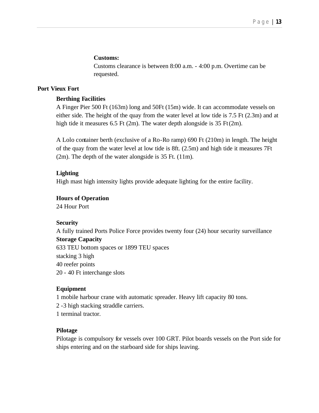#### **Customs:**

Customs clearance is between 8:00 a.m. - 4:00 p.m. Overtime can be requested.

#### **Port Vieux Fort**

#### **Berthing Facilities**

A Finger Pier 500 Ft (163m) long and 50Ft (15m) wide. It can accommodate vessels on either side. The height of the quay from the water level at low tide is 7.5 Ft (2.3m) and at high tide it measures 6.5 Ft (2m). The water depth alongside is 35 Ft (2m).

A Lolo container berth (exclusive of a Ro-Ro ramp) 690 Ft (210m) in length. The height of the quay from the water level at low tide is 8ft. (2.5m) and high tide it measures 7Ft (2m). The depth of the water alongside is 35 Ft. (11m).

#### **Lighting**

High mast high intensity lights provide adequate lighting for the entire facility.

#### **Hours of Operation**

24 Hour Port

#### **Security**

A fully trained Ports Police Force provides twenty four (24) hour security surveillance **Storage Capacity** 633 TEU bottom spaces or 1899 TEU spaces stacking 3 high 40 reefer points 20 - 40 Ft interchange slots

#### **Equipment**

1 mobile harbour crane with automatic spreader. Heavy lift capacity 80 tons.

2 -3 high stacking straddle carriers.

1 terminal tractor.

#### **Pilotage**

Pilotage is compulsory for vessels over 100 GRT. Pilot boards vessels on the Port side for ships entering and on the starboard side for ships leaving.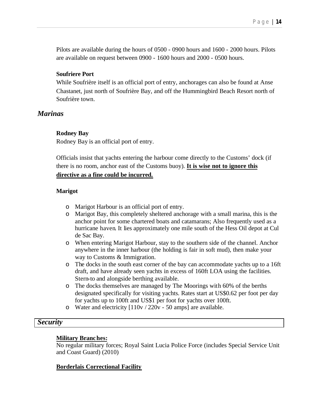Pilots are available during the hours of 0500 - 0900 hours and 1600 - 2000 hours. Pilots are available on request between 0900 - 1600 hours and 2000 - 0500 hours.

#### **Soufriere Port**

While Soufrière itself is an official port of entry, anchorages can also be found at Anse Chastanet, just north of Soufrière Bay, and off the Hummingbird Beach Resort north of Soufrière town.

#### *Marinas*

#### **Rodney Bay**

Rodney Bay is an official port of entry.

Officials insist that yachts entering the harbour come directly to the Customs' dock (if there is no room, anchor east of the Customs buoy). **It is wise not to ignore this directive as a fine could be incurred.**

#### **Marigot**

- o Marigot Harbour is an official port of entry.
- o Marigot Bay, this completely sheltered anchorage with a small marina, this is the anchor point for some chartered boats and catamarans; Also frequently used as a hurricane haven. It lies approximately one mile south of the Hess Oil depot at Cul de Sac Bay.
- o When entering Marigot Harbour, stay to the southern side of the channel. Anchor anywhere in the inner harbour (the holding is fair in soft mud), then make your way to Customs & Immigration.
- o The docks in the south east corner of the bay can accommodate yachts up to a 16ft draft, and have already seen yachts in excess of 160ft LOA using the facilities. Stern-to and alongside berthing available.
- o The docks themselves are managed by The Moorings with 60% of the berths designated specifically for visiting yachts. Rates start at US\$0.62 per foot per day for yachts up to 100ft and US\$1 per foot for yachts over 100ft.
- o Water and electricity [110v / 220v 50 amps] are available.

#### *Security*

#### **Military Branches:**

No regular military forces; Royal Saint Lucia Police Force (includes Special Service Unit and Coast Guard) (2010)

#### **Borderlais Correctional Facility**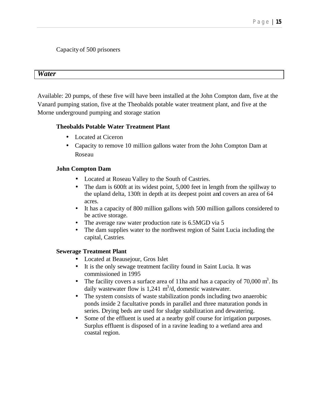Capacity of 500 prisoners

#### *Water*

Available: 20 pumps, of these five will have been installed at the John Compton dam, five at the Vanard pumping station, five at the Theobalds potable water treatment plant, and five at the Morne underground pumping and storage station

#### **Theobalds Potable Water Treatment Plant**

- Located at Ciceron
- Capacity to remove 10 million gallons water from the John Compton Dam at Roseau

#### **John Compton Dam**

- Located at Roseau Valley to the South of Castries.
- The dam is 600ft at its widest point, 5,000 feet in length from the spillway to the upland delta, 130ft in depth at its deepest point and covers an area of 64 acres.
- It has a capacity of 800 million gallons with 500 million gallons considered to be active storage.
- The average raw water production rate is 6.5MGD via 5
- The dam supplies water to the northwest region of Saint Lucia including the capital, Castries.

#### **Sewerage Treatment Plant**

- Located at Beausejour, Gros Islet
- It is the only sewage treatment facility found in Saint Lucia. It was commissioned in 1995
- The facility covers a surface area of 11ha and has a capacity of 70,000  $m^3$ . Its daily wastewater flow is 1,241  $m^3/d$ , domestic wastewater.
- The system consists of waste stabilization ponds including two anaerobic ponds inside 2 facultative ponds in parallel and three maturation ponds in series. Drying beds are used for sludge stabilization and dewatering.
- Some of the effluent is used at a nearby golf course for irrigation purposes. Surplus effluent is disposed of in a ravine leading to a wetland area and coastal region.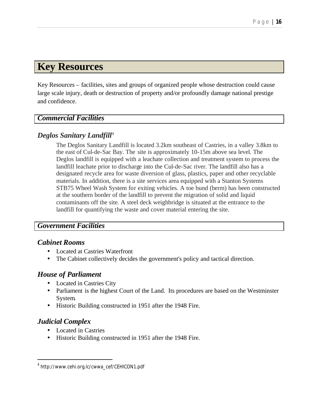## **Key Resources**

Key Resources – facilities, sites and groups of organized people whose destruction could cause large scale injury, death or destruction of property and/or profoundly damage national prestige and confidence.

## *Commercial Facilities*

## *Deglos Sanitary Landfill*<sup>4</sup>

The Deglos Sanitary Landfill is located 3.2km southeast of Castries, in a valley 3.8km to the east of Cul-de-Sac Bay. The site is approximately 10-15m above sea level. The Deglos landfill is equipped with a leachate collection and treatment system to process the landfill leachate prior to discharge into the Cul-de-Sac river. The landfill also has a designated recycle area for waste diversion of glass, plastics, paper and other recyclable materials. In addition, there is a site services area equipped with a Stanton Systems STB75 Wheel Wash System for exiting vehicles. A toe bund (berm) has been constructed at the southern border of the landfill to prevent the migration of solid and liquid contaminants off the site. A steel deck weighbridge is situated at the entrance to the landfill for quantifying the waste and cover material entering the site.

## *Government Facilities*

## *Cabinet Rooms*

- Located at Castries Waterfront
- The Cabinet collectively decides the government's policy and tactical direction.

## *House of Parliament*

- Located in Castries City
- Parliament is the highest Court of the Land. Its procedures are based on the Westminster System.
- Historic Building constructed in 1951 after the 1948 Fire.

## *Judicial Complex*

l

- Located in Castries
- Historic Building constructed in 1951 after the 1948 Fire.

<sup>4</sup> http://www.cehi.org.lc/cwwa\_cef/CEHICON1.pdf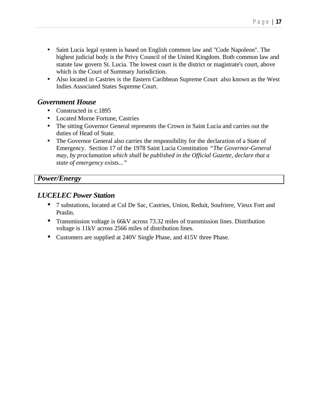- Saint Lucia legal system is based on English common law and "Code Napoleon". The highest judicial body is the Privy Council of the United Kingdom. Both common law and statute law govern St. Lucia. The lowest court is the district or magistrate's court, above which is the Court of Summary Jurisdiction.
- Also located in Castries is the Eastern Caribbean Supreme Court also known as the West Indies Associated States Supreme Court.

## *Government House*

- Constructed in c.1895
- Located Morne Fortune, Castries
- The sitting Governor General represents the Crown in Saint Lucia and carries out the duties of Head of State.
- The Governor General also carries the responsibility for the declaration of a State of Emergency. Section 17 of the 1978 Saint Lucia Constitution *"The Governor-General may, by proclamation which shall be published in the Official Gazette, declare that a state of emergency exists..."*

## *Power/Energy*

## *LUCELEC Power Station*

- 7 substations, located at Cul De Sac, Castries, Union, Reduit, Soufriere, Vieux Fort and Praslin.
- Transmission voltage is 66kV across 73.32 miles of transmission lines. Distribution voltage is 11kV across 2566 miles of distribution lines.
- Customers are supplied at 240V Single Phase, and 415V three Phase.